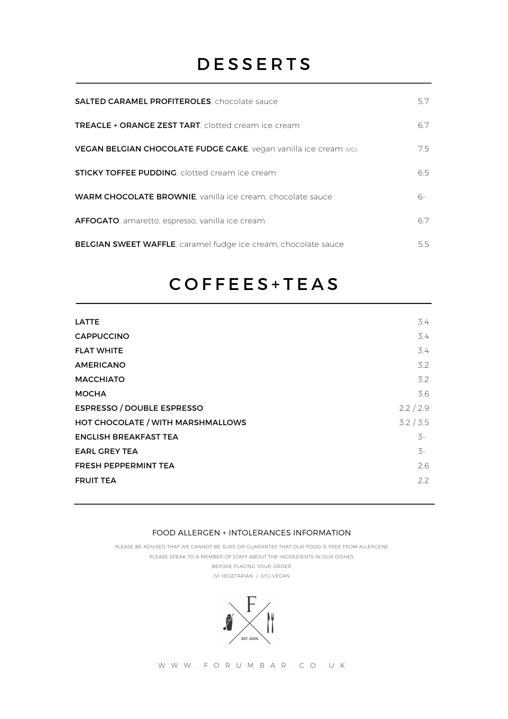## **DESSERTS**

| <b>SALTED CARAMEL PROFITEROLES</b> , chocolate sauce               | 57  |
|--------------------------------------------------------------------|-----|
| TREACLE + ORANGE ZEST TART, clotted cream ice cream                | 67  |
| VEGAN BELGIAN CHOCOLATE FUDGE CAKE, vegan vanilla ice cream (VG)   | 7.5 |
| <b>STICKY TOFFEE PUDDING, clotted cream ice cream</b>              | 65  |
| <b>WARM CHOCOLATE BROWNIE</b> , vanilla ice cream, chocolate sauce | რ-  |
| AFFOGATO, amaretto, espresso, vanilla ice cream                    | 67  |
| BELGIAN SWEET WAFFLE, caramel fudge ice cream, chocolate sauce     | 5.5 |

## COFFEES+TEAS

| <b>LATTE</b>                      | 3.4              |
|-----------------------------------|------------------|
| <b>CAPPUCCINO</b>                 | 3.4              |
| <b>FLAT WHITE</b>                 | 3.4              |
| <b>AMERICANO</b>                  | $3.2^{\circ}$    |
| <b>MACCHIATO</b>                  | 3.2              |
| <b>MOCHA</b>                      | 3.6              |
| <b>ESPRESSO / DOUBLE ESPRESSO</b> | 2.2 / 2.9        |
| HOT CHOCOLATE / WITH MARSHMALLOWS | 3.2 / 3.5        |
| <b>ENGLISH BREAKFAST TEA</b>      | $\mathcal{Z}$ -  |
| <b>EARL GREY TEA</b>              | $\overline{5}$ - |
| <b>FRESH PEPPERMINT TEA</b>       | 2.6              |
| <b>FRUIT TEA</b>                  | 2.2              |
|                                   |                  |

## FOOD ALLERGEN + INTOLERANCES INFORMATION

PLEASE BE ADVISED THAT WE CANNOT BE SURE OR GUARANTEE THAT OUR FOOD IS FREE FROM ALLERGENS PLEASE SPEAK TO A MEMBER OF STAFF ABOUT THE INGREDIENTS IN OUR DISHES BEFORE PLACING YOUR ORDER (V) VEGETARIAN / (VG) VEGAN